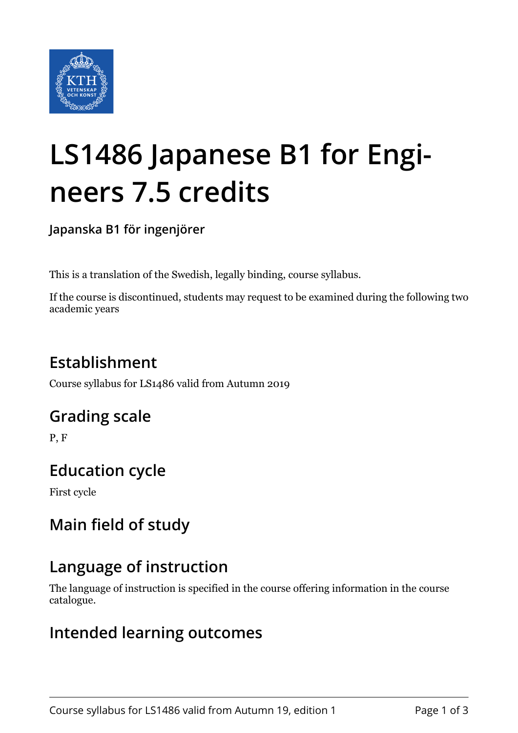

# **LS1486 Japanese B1 for Engineers 7.5 credits**

**Japanska B1 för ingenjörer**

This is a translation of the Swedish, legally binding, course syllabus.

If the course is discontinued, students may request to be examined during the following two academic years

# **Establishment**

Course syllabus for LS1486 valid from Autumn 2019

# **Grading scale**

P, F

# **Education cycle**

First cycle

# **Main field of study**

# **Language of instruction**

The language of instruction is specified in the course offering information in the course catalogue.

## **Intended learning outcomes**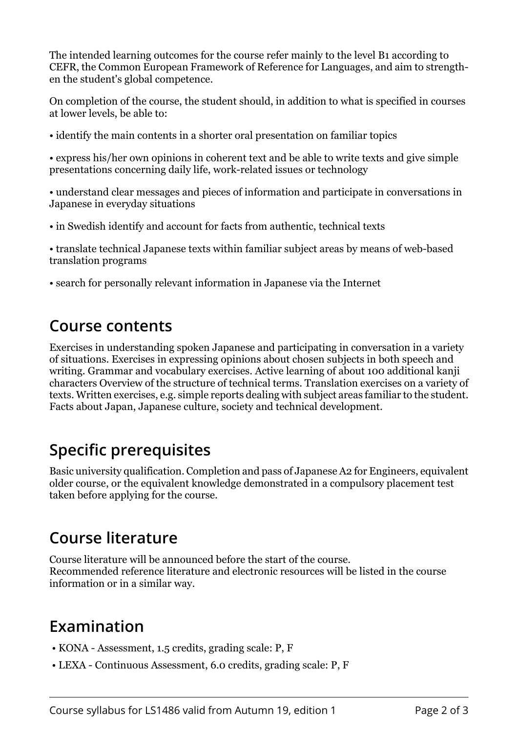The intended learning outcomes for the course refer mainly to the level B1 according to CEFR, the Common European Framework of Reference for Languages, and aim to strengthen the student's global competence.

On completion of the course, the student should, in addition to what is specified in courses at lower levels, be able to:

• identify the main contents in a shorter oral presentation on familiar topics

• express his/her own opinions in coherent text and be able to write texts and give simple presentations concerning daily life, work-related issues or technology

• understand clear messages and pieces of information and participate in conversations in Japanese in everyday situations

• in Swedish identify and account for facts from authentic, technical texts

• translate technical Japanese texts within familiar subject areas by means of web-based translation programs

• search for personally relevant information in Japanese via the Internet

#### **Course contents**

Exercises in understanding spoken Japanese and participating in conversation in a variety of situations. Exercises in expressing opinions about chosen subjects in both speech and writing. Grammar and vocabulary exercises. Active learning of about 100 additional kanji characters Overview of the structure of technical terms. Translation exercises on a variety of texts. Written exercises, e.g. simple reports dealing with subject areas familiar to the student. Facts about Japan, Japanese culture, society and technical development.

## **Specific prerequisites**

Basic university qualification. Completion and pass of Japanese A2 for Engineers, equivalent older course, or the equivalent knowledge demonstrated in a compulsory placement test taken before applying for the course.

# **Course literature**

Course literature will be announced before the start of the course. Recommended reference literature and electronic resources will be listed in the course information or in a similar way.

# **Examination**

- KONA Assessment, 1.5 credits, grading scale: P, F
- LEXA Continuous Assessment, 6.0 credits, grading scale: P, F